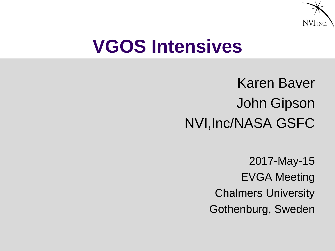

# **VGOS Intensives**

- Karen Baver John Gipson NVI,Inc/NASA GSFC
	- 2017-May-15 EVGA Meeting Chalmers University Gothenburg, Sweden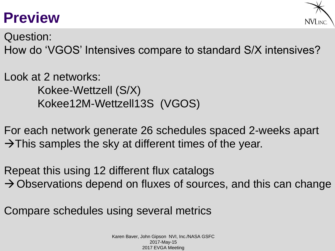# **Preview**



Question: How do 'VGOS' Intensives compare to standard S/X intensives?

Look at 2 networks: Kokee-Wettzell (S/X) Kokee12M-Wettzell13S (VGOS)

For each network generate 26 schedules spaced 2-weeks apart  $\rightarrow$ This samples the sky at different times of the year.

Repeat this using 12 different flux catalogs  $\rightarrow$  Observations depend on fluxes of sources, and this can change

Compare schedules using several metrics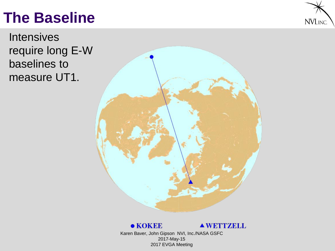# **The Baseline**



**Intensives** require long E-W baselines to measure UT1.



#### $\bullet$  KOKEE

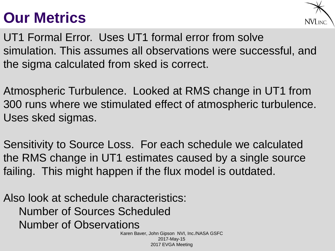# **Our Metrics**



UT1 Formal Error. Uses UT1 formal error from solve simulation. This assumes all observations were successful, and the sigma calculated from sked is correct.

Atmospheric Turbulence. Looked at RMS change in UT1 from 300 runs where we stimulated effect of atmospheric turbulence. Uses sked sigmas.

Sensitivity to Source Loss. For each schedule we calculated the RMS change in UT1 estimates caused by a single source failing. This might happen if the flux model is outdated.

Also look at schedule characteristics: Number of Sources Scheduled Number of Observations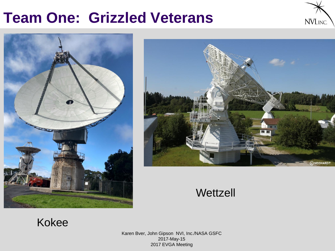## **Team One: Grizzled Veterans**







#### **Wettzell**

#### Kokee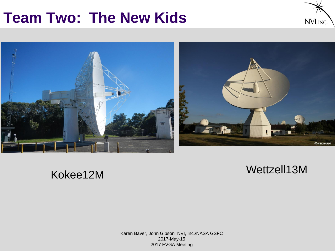# **Team Two: The New Kids**





#### Wettzell13M Kokee12M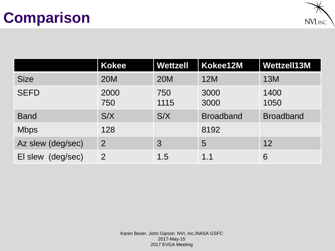# **Comparison**



|                      | <b>Kokee</b>   | <b>Wettzell</b> | Kokee12M         | Wettzell13M      |
|----------------------|----------------|-----------------|------------------|------------------|
| <b>Size</b>          | <b>20M</b>     | <b>20M</b>      | 12M              | 13M              |
| <b>SEFD</b>          | 2000<br>750    | 750<br>1115     | 3000<br>3000     | 1400<br>1050     |
| <b>Band</b>          | S/X            | S/X             | <b>Broadband</b> | <b>Broadband</b> |
| <b>Mbps</b>          | 128            |                 | 8192             |                  |
| Az slew (deg/sec)    | $\overline{2}$ | 3               | 5                | 12               |
| (deg/sec)<br>El slew | $\overline{2}$ | 1.5             | 1.1              | 6                |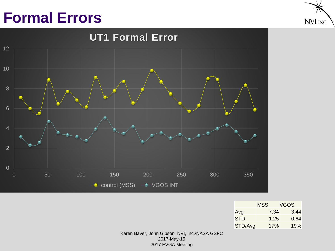# **Formal Errors**





|         | MSS  | VGOS. |
|---------|------|-------|
| Avg     | 7.34 | 3.44  |
| STD     | 1.25 | 0.64  |
| STD/Avg | 17%  | 19%   |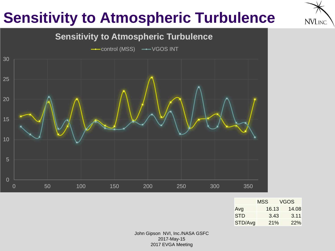# **Sensitivity to Atmospheric Turbulence**







|         | MSS   | VGOS  |
|---------|-------|-------|
| Avg     | 16.13 | 14.08 |
| STD     | 3.43  | 3.11  |
| STD/Avg | 21%   | 22%   |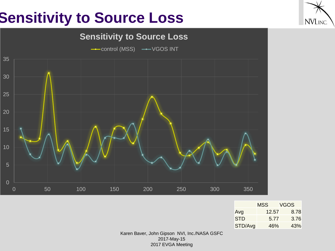# **Sensitivity to Source Loss**



|         | MSS   | VGOS |
|---------|-------|------|
| Avg     | 12.57 | 8.78 |
| STD     | 5.77  | 3.76 |
| STD/Avg | 46%   | 43%  |

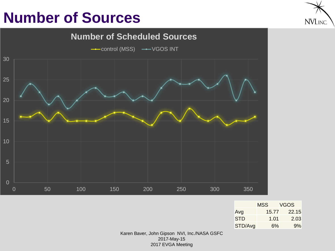# **Number of Sources**





|         | MSS   | VGOS  |
|---------|-------|-------|
| Avg     | 15.77 | 22.15 |
| STD     | 1.01  | 2.03  |
| STD/Avg | 6%    | 9%    |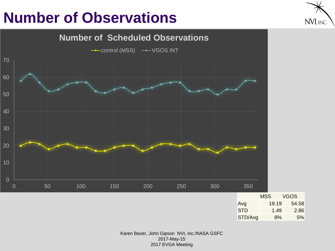# **Number of Observations**





| Avg        | 19.19 | 54.OO |
|------------|-------|-------|
| <b>STD</b> | 1.49  | 2.86  |
| STD/Avg    | 8%    | 5%    |
|            |       |       |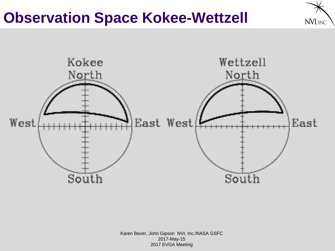# **Observation Space Kokee-Wettzell**



NVI, INC.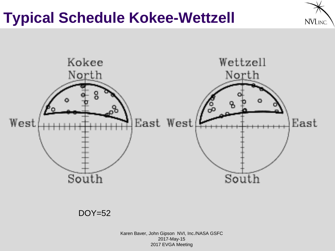# **Typical Schedule Kokee-Wettzell**





DOY=52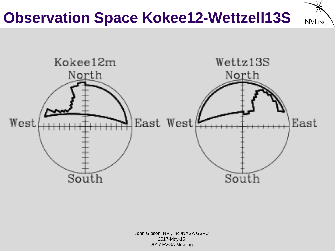# **Observation Space Kokee12-Wettzell13S**

NVI, INC.

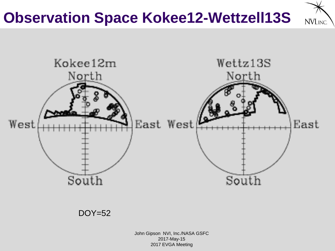# **Observation Space Kokee12-Wettzell13S**

NVI. INC.



DOY=52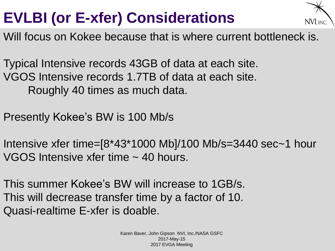# **EVLBI (or E-xfer) Considerations**



Will focus on Kokee because that is where current bottleneck is.

Typical Intensive records 43GB of data at each site. VGOS Intensive records 1.7TB of data at each site. Roughly 40 times as much data.

Presently Kokee's BW is 100 Mb/s

Intensive xfer time=[8\*43\*1000 Mb]/100 Mb/s=3440 sec~1 hour VGOS Intensive xfer time ~ 40 hours.

This summer Kokee's BW will increase to 1GB/s. This will decrease transfer time by a factor of 10. Quasi-realtime E-xfer is doable.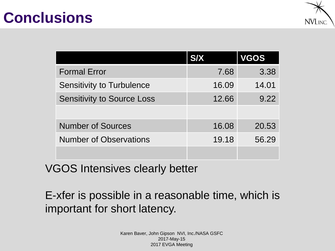## **Conclusions**



|                                   | <b>S/X</b> | <b>VGOS</b> |
|-----------------------------------|------------|-------------|
| <b>Formal Error</b>               | 7.68       | 3.38        |
| <b>Sensitivity to Turbulence</b>  | 16.09      | 14.01       |
| <b>Sensitivity to Source Loss</b> | 12.66      | 9.22        |
|                                   |            |             |
| <b>Number of Sources</b>          | 16.08      | 20.53       |
| <b>Number of Observations</b>     | 19.18      | 56.29       |
|                                   |            |             |

VGOS Intensives clearly better

E-xfer is possible in a reasonable time, which is important for short latency.